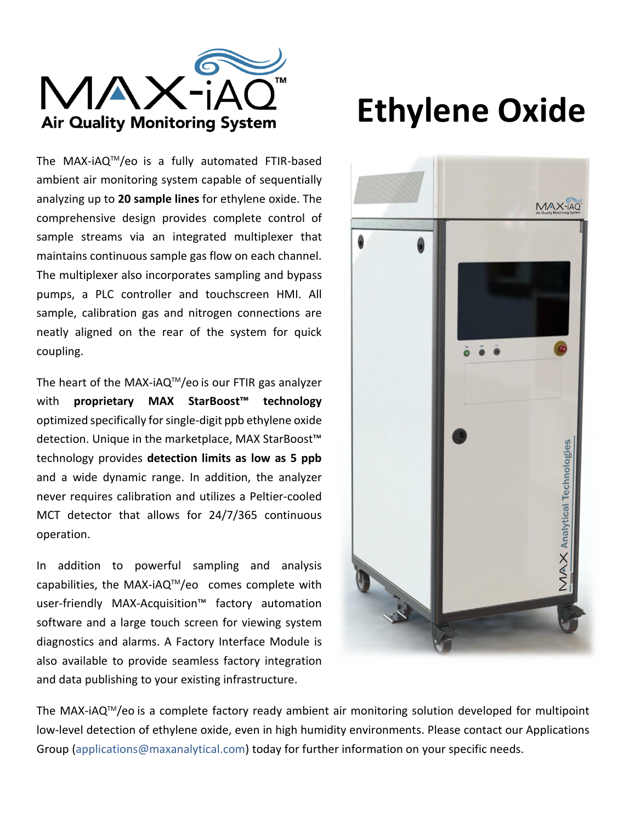

The MAX-iAQ™/eo is a fully automated FTIR-based ambient air monitoring system capable of sequentially analyzing up to **20 sample lines** for ethylene oxide. The comprehensive design provides complete control of sample streams via an integrated multiplexer that maintains continuous sample gas flow on each channel. The multiplexer also incorporates sampling and bypass pumps, a PLC controller and touchscreen HMI. All sample, calibration gas and nitrogen connections are neatly aligned on the rear of the system for quick coupling.

The heart of the MAX-iAQ<sup>TM</sup>/eo is our FTIR gas analyzer with **proprietary MAX StarBoost™ technology** optimized specifically for single-digit ppb ethylene oxide detection. Unique in the marketplace, MAX StarBoost™ technology provides **detection limits as low as 5 ppb** and a wide dynamic range. In addition, the analyzer never requires calibration and utilizes a Peltier-cooled MCT detector that allows for 24/7/365 continuous operation.

In addition to powerful sampling and analysis capabilities, the MAX-iAQ $TM$ /eo comes complete with user-friendly MAX-Acquisition™ factory automation software and a large touch screen for viewing system diagnostics and alarms. A Factory Interface Module is also available to provide seamless factory integration and data publishing to your existing infrastructure.

# **Ethylene Oxide**



The MAX-iAQTM/eo is a complete factory ready ambient air monitoring solution developed for multipoint low-level detection of ethylene oxide, even in high humidity environments. Please contact our Applications Group (applications@maxanalytical.com) today for further information on your specific needs.